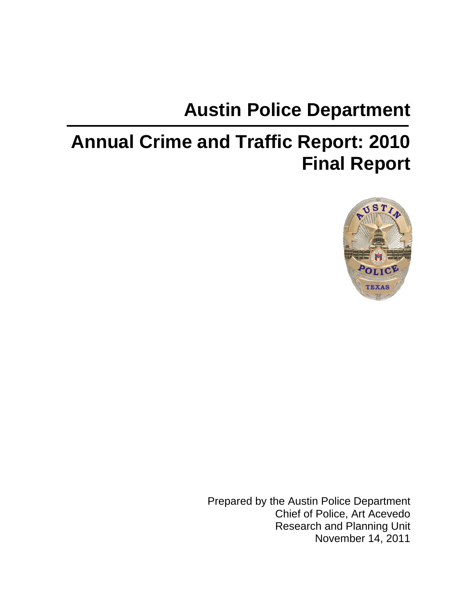# **Austin Police Department**

# **Annual Crime and Traffic Report: 2010 Final Report**



Prepared by the Austin Police Department Chief of Police, Art Acevedo Research and Planning Unit November 14, 2011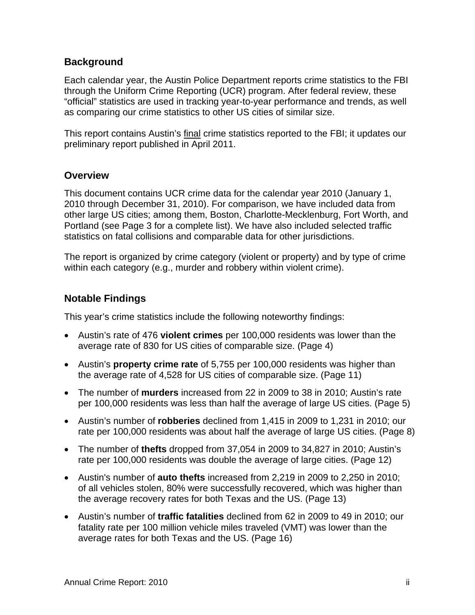#### **Background**

Each calendar year, the Austin Police Department reports crime statistics to the FBI through the Uniform Crime Reporting (UCR) program. After federal review, these "official" statistics are used in tracking year-to-year performance and trends, as well as comparing our crime statistics to other US cities of similar size.

This report contains Austin's final crime statistics reported to the FBI; it updates our preliminary report published in April 2011.

#### **Overview**

This document contains UCR crime data for the calendar year 2010 (January 1, 2010 through December 31, 2010). For comparison, we have included data from other large US cities; among them, Boston, Charlotte-Mecklenburg, Fort Worth, and Portland (see Page 3 for a complete list). We have also included selected traffic statistics on fatal collisions and comparable data for other jurisdictions.

The report is organized by crime category (violent or property) and by type of crime within each category (e.g., murder and robbery within violent crime).

#### **Notable Findings**

This year's crime statistics include the following noteworthy findings:

- Austin's rate of 476 **violent crimes** per 100,000 residents was lower than the average rate of 830 for US cities of comparable size. (Page 4)
- Austin's **property crime rate** of 5,755 per 100,000 residents was higher than the average rate of 4,528 for US cities of comparable size. (Page 11)
- The number of **murders** increased from 22 in 2009 to 38 in 2010; Austin's rate per 100,000 residents was less than half the average of large US cities. (Page 5)
- Austin's number of **robberies** declined from 1,415 in 2009 to 1,231 in 2010; our rate per 100,000 residents was about half the average of large US cities. (Page 8)
- The number of **thefts** dropped from 37,054 in 2009 to 34,827 in 2010; Austin's rate per 100,000 residents was double the average of large cities. (Page 12)
- Austin's number of **auto thefts** increased from 2,219 in 2009 to 2,250 in 2010; of all vehicles stolen, 80% were successfully recovered, which was higher than the average recovery rates for both Texas and the US. (Page 13)
- Austin's number of **traffic fatalities** declined from 62 in 2009 to 49 in 2010; our fatality rate per 100 million vehicle miles traveled (VMT) was lower than the average rates for both Texas and the US. (Page 16)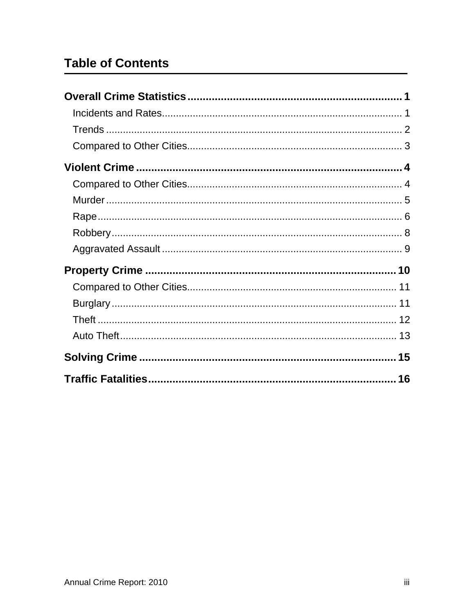# **Table of Contents**

| 16 |
|----|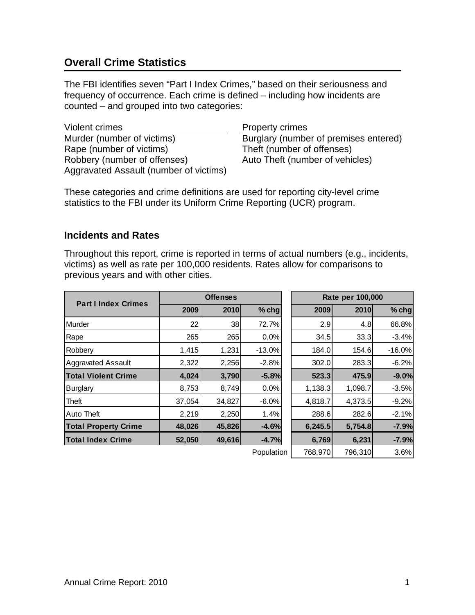# <span id="page-3-0"></span>**Overall Crime Statistics**

The FBI identifies seven "Part I Index Crimes," based on their seriousness and frequency of occurrence. Each crime is defined – including how incidents are counted – and grouped into two categories:

Violent crimes **Property crimes** Murder (number of victims) Burglary (number of premises entered) Rape (number of victims) Theft (number of offenses) Robbery (number of offenses) Auto Theft (number of vehicles) Aggravated Assault (number of victims)

These categories and crime definitions are used for reporting city-level crime statistics to the FBI under its Uniform Crime Reporting (UCR) program.

#### <span id="page-3-1"></span>**Incidents and Rates**

Throughout this report, crime is reported in terms of actual numbers (e.g., incidents, victims) as well as rate per 100,000 residents. Rates allow for comparisons to previous years and with other cities.

| <b>Part I Index Crimes</b>  | <b>Offenses</b> |             |            | Rate per 100,000 |         |          |  |
|-----------------------------|-----------------|-------------|------------|------------------|---------|----------|--|
|                             | 2009            | <b>2010</b> | $%$ chg    | 2009             | 2010    | $%$ chg  |  |
| Murder                      | 22              | 38          | 72.7%      | 2.9              | 4.8     | 66.8%    |  |
| Rape                        | 265             | 265         | 0.0%       | 34.5             | 33.3    | $-3.4%$  |  |
| Robbery                     | 1,415           | 1,231       | $-13.0%$   | 184.0            | 154.6   | $-16.0%$ |  |
| <b>Aggravated Assault</b>   | 2,322           | 2,256       | $-2.8%$    | 302.0            | 283.3   | $-6.2%$  |  |
| <b>Total Violent Crime</b>  | 4,024           | 3,790       | $-5.8%$    | 523.3            | 475.9   | $-9.0%$  |  |
| <b>Burglary</b>             | 8,753           | 8,749       | 0.0%       | 1,138.3          | 1,098.7 | $-3.5%$  |  |
| Theft                       | 37,054          | 34,827      | $-6.0%$    | 4,818.7          | 4,373.5 | $-9.2%$  |  |
| <b>Auto Theft</b>           | 2,219           | 2,250       | 1.4%       | 288.6            | 282.6   | $-2.1%$  |  |
| <b>Total Property Crime</b> | 48,026          | 45,826      | $-4.6%$    | 6,245.5          | 5,754.8 | $-7.9%$  |  |
| <b>Total Index Crime</b>    | 52,050          | 49,616      | $-4.7%$    | 6,769            | 6,231   | $-7.9%$  |  |
|                             |                 |             | Population | 768,970          | 796,310 | 3.6%     |  |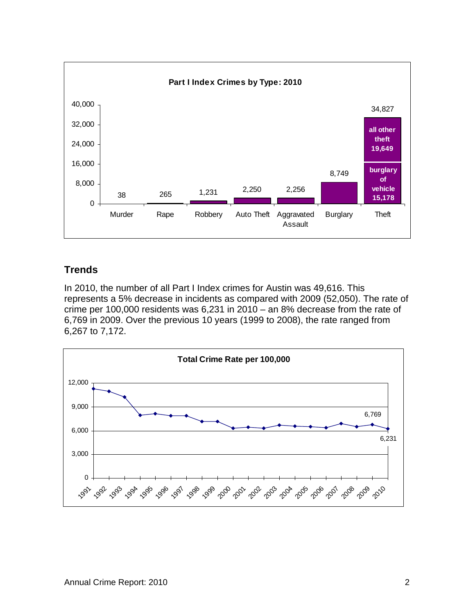<span id="page-4-0"></span>

#### **Trends**

In 2010, the number of all Part I Index crimes for Austin was 49,616. This represents a 5% decrease in incidents as compared with 2009 (52,050). The rate of crime per 100,000 residents was 6,231 in 2010 – an 8% decrease from the rate of 6,769 in 2009. Over the previous 10 years (1999 to 2008), the rate ranged from 6,267 to 7,172.

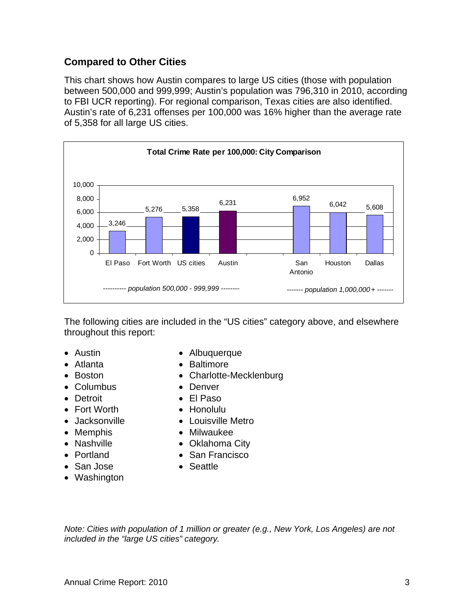#### **Compared to Other Cities**

This chart shows how Austin compares to large US cities (those with population between 500,000 and 999,999; Austin's population was 796,310 in 2010, according to FBI UCR reporting). For regional comparison, Texas cities are also identified. Austin's rate of 6,231 offenses per 100,000 was 16% higher than the average rate of 5,358 for all large US cities.



The following cities are included in the "US cities" category above, and elsewhere throughout this report:

- 
- 
- 
- Columbus Denver
- 
- Fort Worth Honolulu
- 
- 
- 
- 
- San Jose **Canadian Seattle**
- Washington
- Austin  **Albuquerque**
- Atlanta Baltimore
- Boston  **Charlotte-Mecklenburg** 
	-
- Detroit El Paso
	-
- Jacksonville Louisville Metro
- Memphis  **Milwaukee**
- Nashville **Communist Communist City**
- Portland San Francisco
	-

<span id="page-5-0"></span>*Note: Cities with population of 1 million or greater (e.g., New York, Los Angeles) are not included in the "large US cities" category.*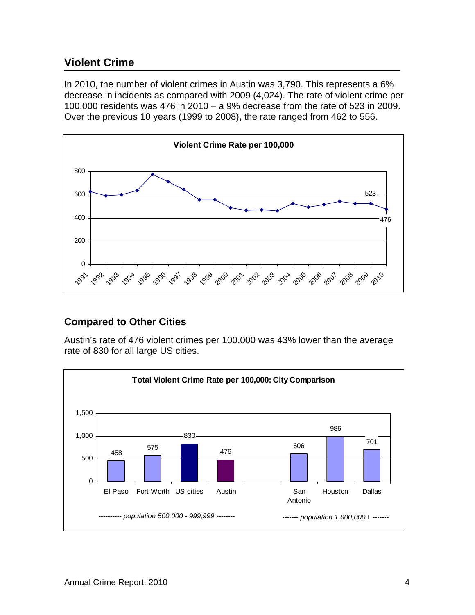## <span id="page-6-0"></span>**Violent Crime**

In 2010, the number of violent crimes in Austin was 3,790. This represents a 6% decrease in incidents as compared with 2009 (4,024). The rate of violent crime per 100,000 residents was 476 in 2010 – a 9% decrease from the rate of 523 in 2009. Over the previous 10 years (1999 to 2008), the rate ranged from 462 to 556.



#### <span id="page-6-1"></span>**Compared to Other Cities**

Austin's rate of 476 violent crimes per 100,000 was 43% lower than the average rate of 830 for all large US cities.

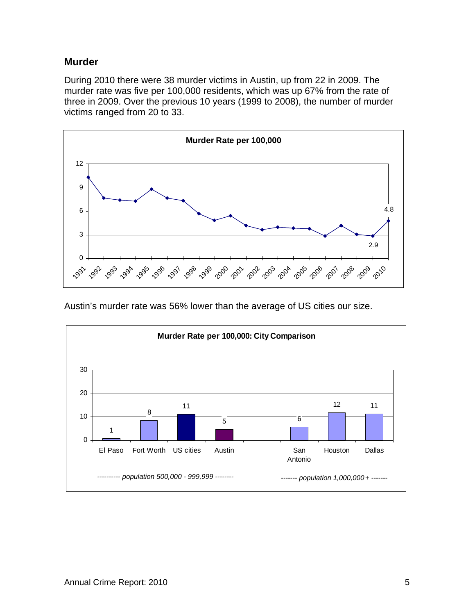#### <span id="page-7-0"></span>**Murder**

During 2010 there were 38 murder victims in Austin, up from 22 in 2009. The murder rate was five per 100,000 residents, which was up 67% from the rate of three in 2009. Over the previous 10 years (1999 to 2008), the number of murder victims ranged from 20 to 33.



Austin's murder rate was 56% lower than the average of US cities our size.

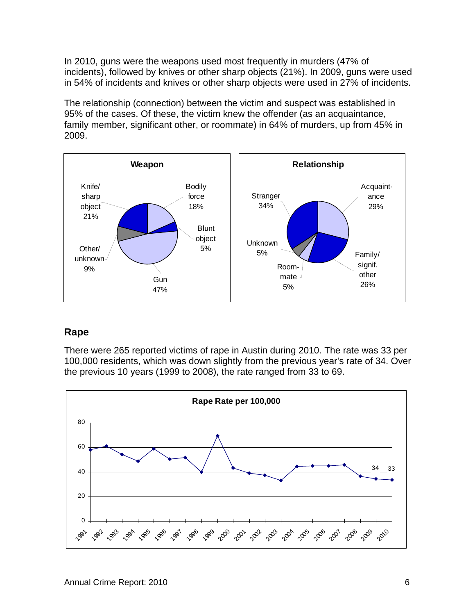In 2010, guns were the weapons used most frequently in murders (47% of incidents), followed by knives or other sharp objects (21%). In 2009, guns were used in 54% of incidents and knives or other sharp objects were used in 27% of incidents.

The relationship (connection) between the victim and suspect was established in 95% of the cases. Of these, the victim knew the offender (as an acquaintance, family member, significant other, or roommate) in 64% of murders, up from 45% in 2009.



#### <span id="page-8-0"></span>**Rape**

There were 265 reported victims of rape in Austin during 2010. The rate was 33 per 100,000 residents, which was down slightly from the previous year's rate of 34. Over the previous 10 years (1999 to 2008), the rate ranged from 33 to 69.

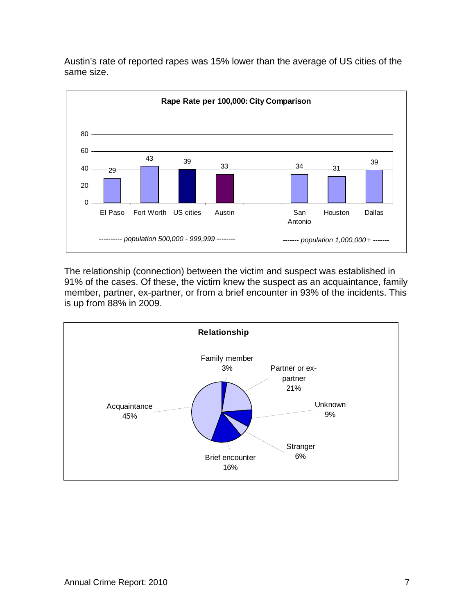

Austin's rate of reported rapes was 15% lower than the average of US cities of the same size.

The relationship (connection) between the victim and suspect was established in 91% of the cases. Of these, the victim knew the suspect as an acquaintance, family member, partner, ex-partner, or from a brief encounter in 93% of the incidents. This is up from 88% in 2009.

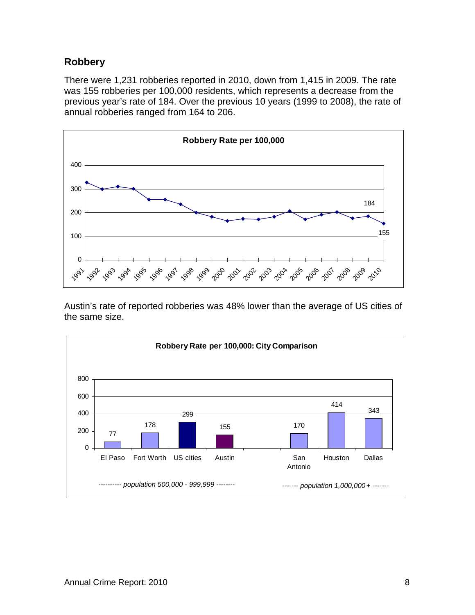#### **Robbery**

There were 1,231 robberies reported in 2010, down from 1,415 in 2009. The rate was 155 robberies per 100,000 residents, which represents a decrease from the previous year's rate of 184. Over the previous 10 years (1999 to 2008), the rate of annual robberies ranged from 164 to 206.



Austin's rate of reported robberies was 48% lower than the average of US cities of the same size.

<span id="page-10-0"></span>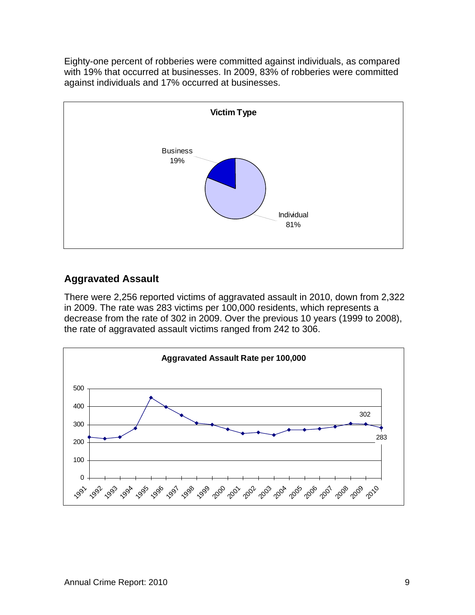Eighty-one percent of robberies were committed against individuals, as compared with 19% that occurred at businesses. In 2009, 83% of robberies were committed against individuals and 17% occurred at businesses.



# <span id="page-11-0"></span>**Aggravated Assault**

There were 2,256 reported victims of aggravated assault in 2010, down from 2,322 in 2009. The rate was 283 victims per 100,000 residents, which represents a decrease from the rate of 302 in 2009. Over the previous 10 years (1999 to 2008), the rate of aggravated assault victims ranged from 242 to 306.

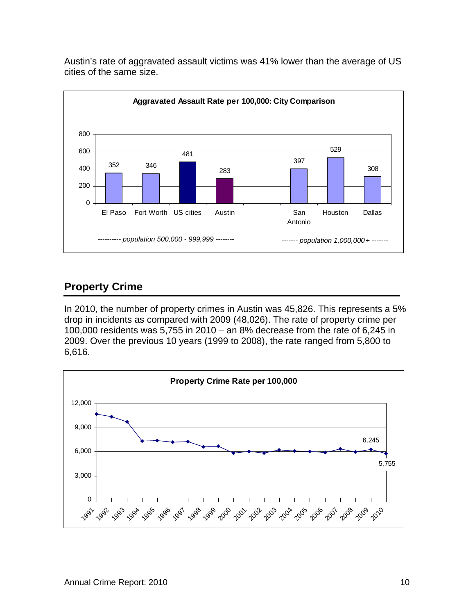

Austin's rate of aggravated assault victims was 41% lower than the average of US cities of the same size.

# <span id="page-12-0"></span>**Property Crime**

In 2010, the number of property crimes in Austin was 45,826. This represents a 5% drop in incidents as compared with 2009 (48,026). The rate of property crime per 100,000 residents was 5,755 in 2010 – an 8% decrease from the rate of 6,245 in 2009. Over the previous 10 years (1999 to 2008), the rate ranged from 5,800 to 6,616.

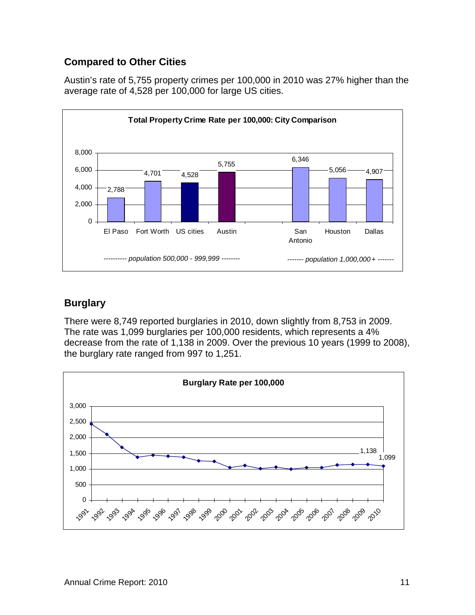### <span id="page-13-0"></span>**Compared to Other Cities**

Austin's rate of 5,755 property crimes per 100,000 in 2010 was 27% higher than the average rate of 4,528 per 100,000 for large US cities.



#### <span id="page-13-1"></span>**Burglary**

There were 8,749 reported burglaries in 2010, down slightly from 8,753 in 2009. The rate was 1,099 burglaries per 100,000 residents, which represents a 4% decrease from the rate of 1,138 in 2009. Over the previous 10 years (1999 to 2008), the burglary rate ranged from 997 to 1,251.

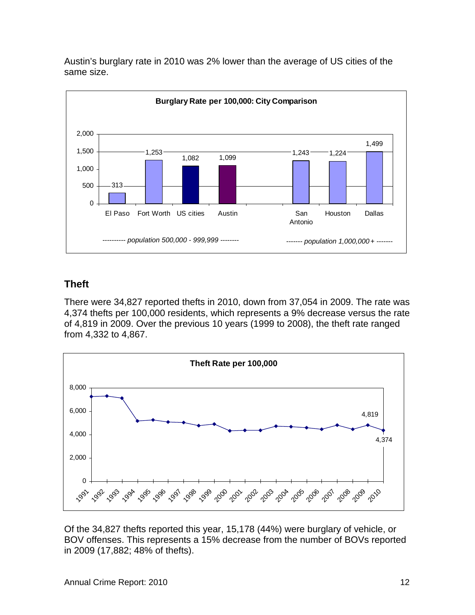

Austin's burglary rate in 2010 was 2% lower than the average of US cities of the same size.

## <span id="page-14-0"></span>**Theft**

There were 34,827 reported thefts in 2010, down from 37,054 in 2009. The rate was 4,374 thefts per 100,000 residents, which represents a 9% decrease versus the rate of 4,819 in 2009. Over the previous 10 years (1999 to 2008), the theft rate ranged from 4,332 to 4,867.



Of the 34,827 thefts reported this year, 15,178 (44%) were burglary of vehicle, or BOV offenses. This represents a 15% decrease from the number of BOVs reported in 2009 (17,882; 48% of thefts).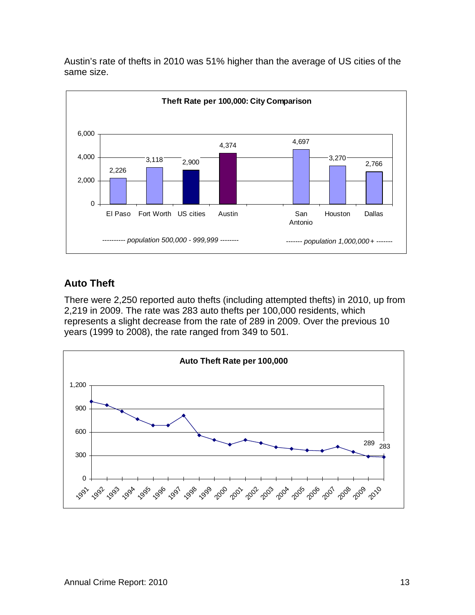

Austin's rate of thefts in 2010 was 51% higher than the average of US cities of the same size.

# <span id="page-15-0"></span>**Auto Theft**

There were 2,250 reported auto thefts (including attempted thefts) in 2010, up from 2,219 in 2009. The rate was 283 auto thefts per 100,000 residents, which represents a slight decrease from the rate of 289 in 2009. Over the previous 10 years (1999 to 2008), the rate ranged from 349 to 501.

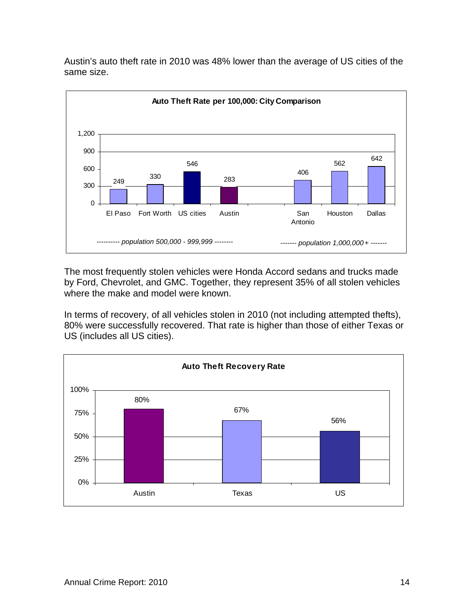

Austin's auto theft rate in 2010 was 48% lower than the average of US cities of the same size.

The most frequently stolen vehicles were Honda Accord sedans and trucks made by Ford, Chevrolet, and GMC. Together, they represent 35% of all stolen vehicles where the make and model were known.

In terms of recovery, of all vehicles stolen in 2010 (not including attempted thefts), 80% were successfully recovered. That rate is higher than those of either Texas or US (includes all US cities).

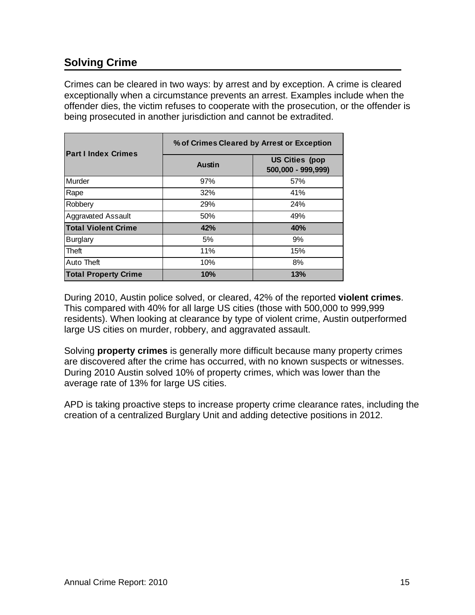# <span id="page-17-0"></span>**Solving Crime**

Crimes can be cleared in two ways: by arrest and by exception. A crime is cleared exceptionally when a circumstance prevents an arrest. Examples include when the offender dies, the victim refuses to cooperate with the prosecution, or the offender is being prosecuted in another jurisdiction and cannot be extradited.

| <b>Part I Index Crimes</b>  | % of Crimes Cleared by Arrest or Exception |                                             |  |  |  |  |
|-----------------------------|--------------------------------------------|---------------------------------------------|--|--|--|--|
|                             | <b>Austin</b>                              | <b>US Cities (pop</b><br>500,000 - 999,999) |  |  |  |  |
| Murder                      | 97%                                        | 57%                                         |  |  |  |  |
| Rape                        | 32%                                        | 41%                                         |  |  |  |  |
| Robbery                     | 29%                                        | 24%                                         |  |  |  |  |
| <b>Aggravated Assault</b>   | 50%                                        | 49%                                         |  |  |  |  |
| <b>Total Violent Crime</b>  | 42%                                        | 40%                                         |  |  |  |  |
| <b>Burglary</b>             | 5%                                         | 9%                                          |  |  |  |  |
| Theft                       | 11%                                        | 15%                                         |  |  |  |  |
| Auto Theft                  | 10%                                        | 8%                                          |  |  |  |  |
| <b>Total Property Crime</b> | 10%                                        | 13%                                         |  |  |  |  |

During 2010, Austin police solved, or cleared, 42% of the reported **violent crimes**. This compared with 40% for all large US cities (those with 500,000 to 999,999 residents). When looking at clearance by type of violent crime, Austin outperformed large US cities on murder, robbery, and aggravated assault.

Solving **property crimes** is generally more difficult because many property crimes are discovered after the crime has occurred, with no known suspects or witnesses. During 2010 Austin solved 10% of property crimes, which was lower than the average rate of 13% for large US cities.

APD is taking proactive steps to increase property crime clearance rates, including the creation of a centralized Burglary Unit and adding detective positions in 2012.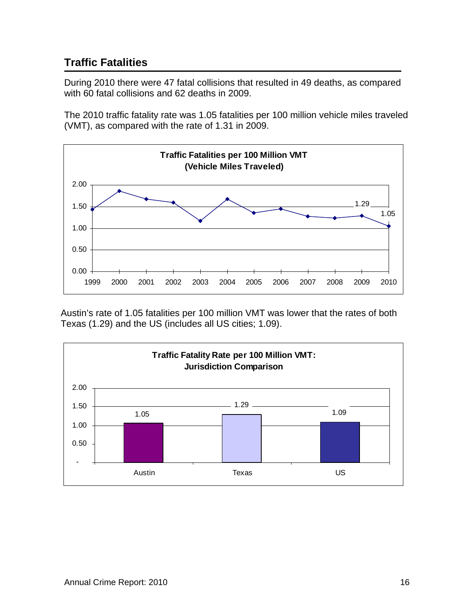# <span id="page-18-0"></span>**Traffic Fatalities**

During 2010 there were 47 fatal collisions that resulted in 49 deaths, as compared with 60 fatal collisions and 62 deaths in 2009.

The 2010 traffic fatality rate was 1.05 fatalities per 100 million vehicle miles traveled (VMT), as compared with the rate of 1.31 in 2009.



Austin's rate of 1.05 fatalities per 100 million VMT was lower that the rates of both Texas (1.29) and the US (includes all US cities; 1.09).

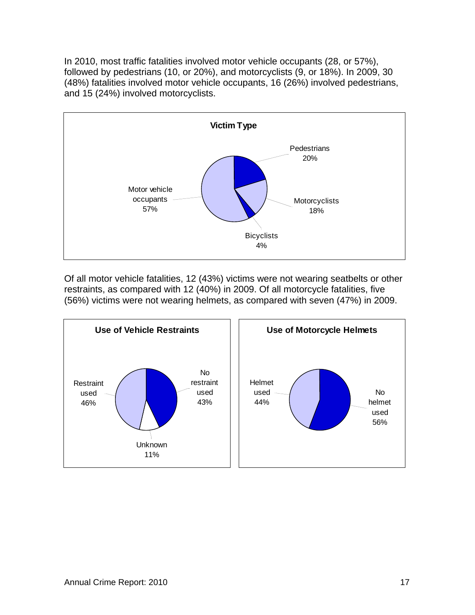In 2010, most traffic fatalities involved motor vehicle occupants (28, or 57%), followed by pedestrians (10, or 20%), and motorcyclists (9, or 18%). In 2009, 30 (48%) fatalities involved motor vehicle occupants, 16 (26%) involved pedestrians, and 15 (24%) involved motorcyclists.



Of all motor vehicle fatalities, 12 (43%) victims were not wearing seatbelts or other restraints, as compared with 12 (40%) in 2009. Of all motorcycle fatalities, five (56%) victims were not wearing helmets, as compared with seven (47%) in 2009.

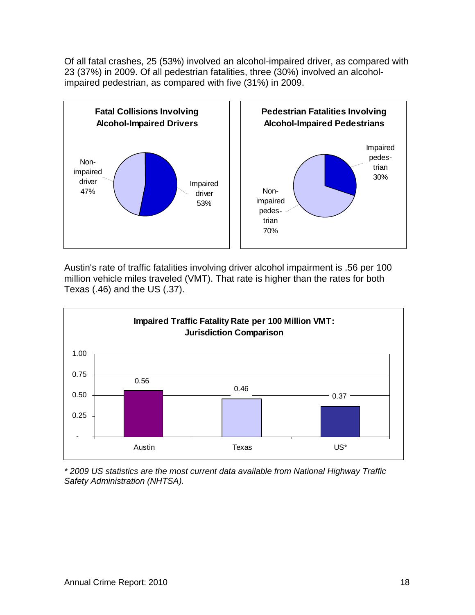Of all fatal crashes, 25 (53%) involved an alcohol-impaired driver, as compared with 23 (37%) in 2009. Of all pedestrian fatalities, three (30%) involved an alcoholimpaired pedestrian, as compared with five (31%) in 2009.



Austin's rate of traffic fatalities involving driver alcohol impairment is .56 per 100 million vehicle miles traveled (VMT). That rate is higher than the rates for both Texas (.46) and the US (.37).



*\* 2009 US statistics are the most current data available from National Highway Traffic Safety Administration (NHTSA).*